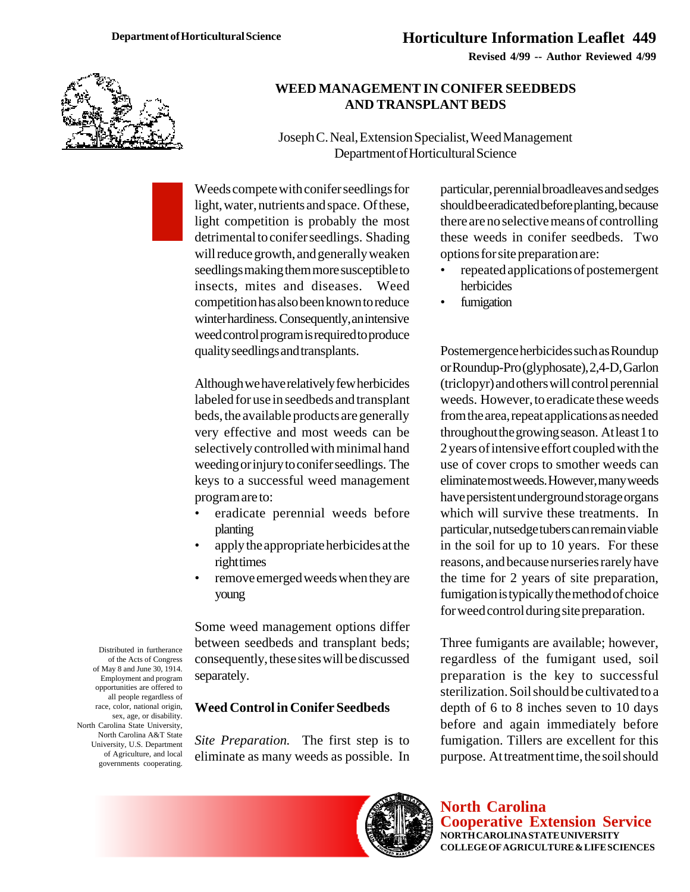**Revised 4/99 -- Author Reviewed 4/99**



### **WEED MANAGEMENT IN CONIFER SEEDBEDS AND TRANSPLANT BEDS**

Joseph C. Neal, Extension Specialist, Weed Management Department of Horticultural Science

Weeds compete with conifer seedlings for light, water, nutrients and space. Of these, light competition is probably the most detrimental to conifer seedlings. Shading will reduce growth, and generally weaken seedlings making them more susceptible to insects, mites and diseases. Weed competition has also been known to reduce winter hardiness. Consequently, an intensive weed control program is required to produce quality seedlings and transplants.

Although we have relatively few herbicides labeled for use in seedbeds and transplant beds, the available products are generally very effective and most weeds can be selectively controlled with minimal hand weeding or injury to conifer seedlings. The keys to a successful weed management program are to:

- eradicate perennial weeds before planting
- apply the appropriate herbicides at the right times
- remove emerged weeds when they are young

Some weed management options differ between seedbeds and transplant beds; consequently, these sites will be discussed separately.

#### **Weed Control in Conifer Seedbeds**

*Site Preparation.* The first step is to eliminate as many weeds as possible. In particular, perennial broadleaves and sedges should be eradicated before planting, because there are no selective means of controlling these weeds in conifer seedbeds. Two options for site preparation are:

- repeated applications of postemergent herbicides
- fumigation

Postemergence herbicides such as Roundup or Roundup-Pro (glyphosate), 2,4-D, Garlon (triclopyr) and others will control perennial weeds. However, to eradicate these weeds from the area, repeat applications as needed throughout the growing season. At least 1 to 2 years of intensive effort coupled with the use of cover crops to smother weeds can eliminate most weeds. However, many weeds have persistent underground storage organs which will survive these treatments. In particular, nutsedge tubers can remain viable in the soil for up to 10 years. For these reasons, and because nurseries rarely have the time for 2 years of site preparation, fumigation is typically the method of choice for weed control during site preparation.

Three fumigants are available; however, regardless of the fumigant used, soil preparation is the key to successful sterilization. Soil should be cultivated to a depth of 6 to 8 inches seven to 10 days before and again immediately before fumigation. Tillers are excellent for this purpose. At treatment time, the soil should

**North Carolina Cooperative Extension Service NORTH CAROLINA STATE UNIVERSITY COLLEGE OF AGRICULTURE & LIFE SCIENCES**

Distributed in furtherance of the Acts of Congress of May 8 and June 30, 1914. Employment and program opportunities are offered to all people regardless of race, color, national origin, sex, age, or disability. North Carolina State University, North Carolina A&T State University, U.S. Department of Agriculture, and local governments cooperating.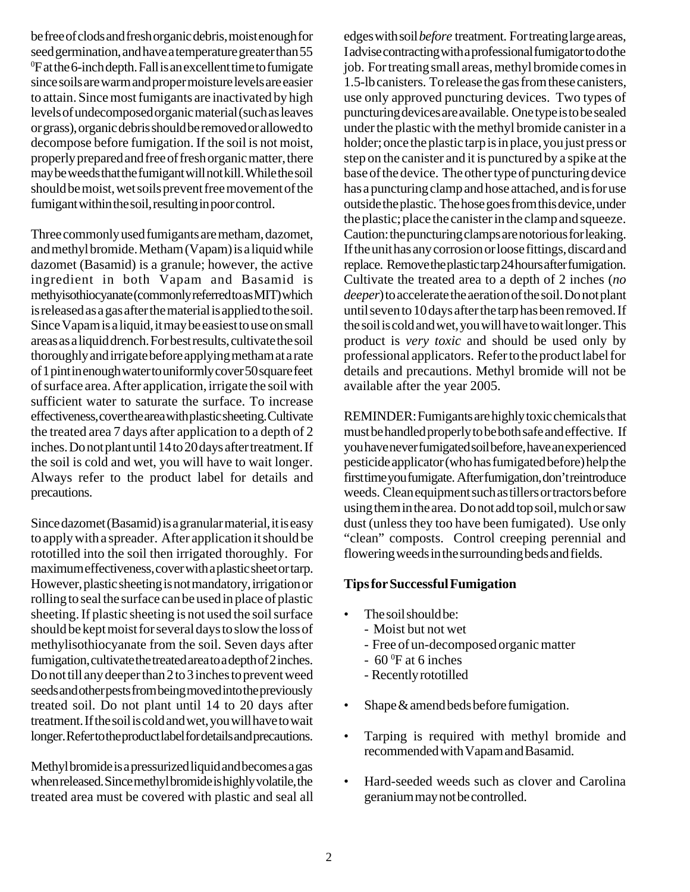be free of clods and fresh organic debris, moist enough for seed germination, and have a temperature greater than 55 <sup>0</sup>F at the 6-inch depth. Fall is an excellent time to fumigate since soils are warm and proper moisture levels are easier to attain. Since most fumigants are inactivated by high levels of undecomposed organic material (such as leaves or grass), organic debris should be removed or allowed to decompose before fumigation. If the soil is not moist, properly prepared and free of fresh organic matter, there may be weeds that the fumigant will not kill. While the soil should be moist, wet soils prevent free movement of the fumigant within the soil, resulting in poor control.

Three commonly used fumigants are metham, dazomet, and methyl bromide. Metham (Vapam) is a liquid while dazomet (Basamid) is a granule; however, the active ingredient in both Vapam and Basamid is methyisothiocyanate (commonly referred to as MIT) which is released as a gas after the material is applied to the soil. Since Vapam is a liquid, it may be easiest to use on small areas as a liquid drench. For best results, cultivate the soil thoroughly and irrigate before applying metham at a rate of 1 pint in enough water to uniformly cover 50 square feet of surface area. After application, irrigate the soil with sufficient water to saturate the surface. To increase effectiveness, cover the area with plastic sheeting. Cultivate the treated area 7 days after application to a depth of 2 inches. Do not plant until 14 to 20 days after treatment. If the soil is cold and wet, you will have to wait longer. Always refer to the product label for details and precautions.

Since dazomet (Basamid) is a granular material, it is easy to apply with a spreader. After application it should be rototilled into the soil then irrigated thoroughly. For maximum effectiveness, cover with a plastic sheet or tarp. However, plastic sheeting is not mandatory, irrigation or rolling to seal the surface can be used in place of plastic sheeting. If plastic sheeting is not used the soil surface should be kept moist for several days to slow the loss of methylisothiocyanate from the soil. Seven days after fumigation, cultivate the treated area to a depth of 2 inches. Do not till any deeper than 2 to 3 inches to prevent weed seeds and other pests from being moved into the previously treated soil. Do not plant until 14 to 20 days after treatment. If the soil is cold and wet, you will have to wait longer. Refer to the product label for details and precautions.

Methyl bromide is a pressurized liquid and becomes a gas when released. Since methyl bromide is highly volatile, the treated area must be covered with plastic and seal all edges with soil *before* treatment. For treating large areas, I advise contracting with a professional fumigator to do the job. For treating small areas, methyl bromide comes in 1.5-lb canisters. To release the gas from these canisters, use only approved puncturing devices. Two types of puncturing devices are available. One type is to be sealed under the plastic with the methyl bromide canister in a holder; once the plastic tarp is in place, you just press or step on the canister and it is punctured by a spike at the base of the device. The other type of puncturing device has a puncturing clamp and hose attached, and is for use outside the plastic. The hose goes from this device, under the plastic; place the canister in the clamp and squeeze. Caution: the puncturing clamps are notorious for leaking. If the unit has any corrosion or loose fittings, discard and replace. Remove the plastic tarp 24 hours after fumigation. Cultivate the treated area to a depth of 2 inches (*no deeper*) to accelerate the aeration of the soil. Do not plant until seven to 10 days after the tarp has been removed. If the soil is cold and wet, you will have to wait longer. This product is *very toxic* and should be used only by professional applicators. Refer to the product label for details and precautions. Methyl bromide will not be available after the year 2005.

REMINDER: Fumigants are highly toxic chemicals that must be handled properly to be both safe and effective. If you have never fumigated soil before, have an experienced pesticide applicator (who has fumigated before) help the first time you fumigate. After fumigation, don't reintroduce weeds. Clean equipment such as tillers or tractors before using them in the area. Do not add top soil, mulch or saw dust (unless they too have been fumigated). Use only "clean" composts. Control creeping perennial and flowering weeds in the surrounding beds and fields.

#### **Tips for Successful Fumigation**

- The soil should be:
	- Moist but not wet
	- Free of un-decomposed organic matter
	- $-60^\circ$ F at 6 inches
	- Recently rototilled
- Shape & amend beds before fumigation.
- Tarping is required with methyl bromide and recommended with Vapam and Basamid.
- Hard-seeded weeds such as clover and Carolina geranium may not be controlled.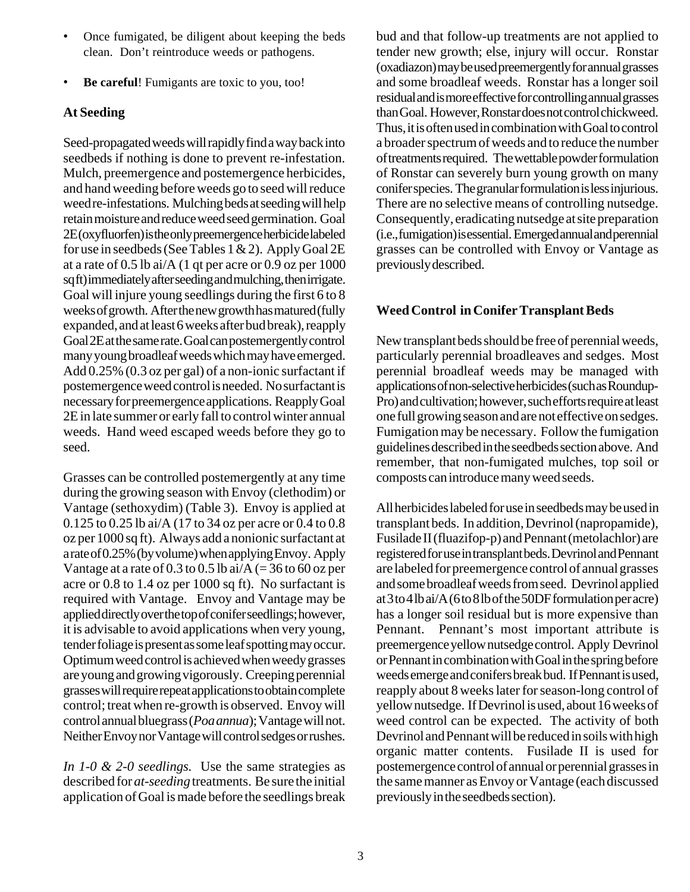- Once fumigated, be diligent about keeping the beds clean. Don't reintroduce weeds or pathogens.
- **Be careful!** Fumigants are toxic to you, too!

# **At Seeding**

Seed-propagated weeds will rapidly find a way back into seedbeds if nothing is done to prevent re-infestation. Mulch, preemergence and postemergence herbicides, and hand weeding before weeds go to seed will reduce weed re-infestations. Mulching beds at seeding will help retain moisture and reduce weed seed germination. Goal 2E (oxyfluorfen) is the only preemergence herbicide labeled for use in seedbeds (See Tables 1 & 2). Apply Goal 2E at a rate of 0.5 lb ai/A (1 qt per acre or 0.9 oz per 1000 sq ft) immediately after seeding and mulching, then irrigate. Goal will injure young seedlings during the first 6 to 8 weeks of growth. After the new growth has matured (fully expanded, and at least 6 weeks after bud break), reapply Goal 2E at the same rate. Goal can postemergently control many young broadleaf weeds which may have emerged. Add 0.25% (0.3 oz per gal) of a non-ionic surfactant if postemergence weed control is needed. No surfactant is necessary for preemergence applications. Reapply Goal 2E in late summer or early fall to control winter annual weeds. Hand weed escaped weeds before they go to seed.

Grasses can be controlled postemergently at any time during the growing season with Envoy (clethodim) or Vantage (sethoxydim) (Table 3). Envoy is applied at 0.125 to 0.25 lb ai/A (17 to 34 oz per acre or 0.4 to 0.8 oz per 1000 sq ft). Always add a nonionic surfactant at a rate of 0.25% (by volume) when applying Envoy. Apply Vantage at a rate of  $0.3$  to  $0.5$  lb ai/A (= 36 to 60 oz per acre or 0.8 to 1.4 oz per 1000 sq ft). No surfactant is required with Vantage. Envoy and Vantage may be applied directly over the top of conifer seedlings; however, it is advisable to avoid applications when very young, tender foliage is present as some leaf spotting may occur. Optimum weed control is achieved when weedy grasses are young and growing vigorously. Creeping perennial grasses will require repeat applications to obtain complete control; treat when re-growth is observed. Envoy will control annual bluegrass (*Poa annua*); Vantage will not. Neither Envoy nor Vantage will control sedges or rushes.

*In 1-0 & 2-0 seedlings.* Use the same strategies as described for *at-seeding* treatments. Be sure the initial application of Goal is made before the seedlings break bud and that follow-up treatments are not applied to tender new growth; else, injury will occur. Ronstar (oxadiazon) may be used preemergently for annual grasses and some broadleaf weeds. Ronstar has a longer soil residual and is more effective for controlling annual grasses than Goal. However, Ronstar does not control chickweed. Thus, it is often used in combination with Goal to control a broader spectrum of weeds and to reduce the number of treatments required. The wettable powder formulation of Ronstar can severely burn young growth on many conifer species. The granular formulation is less injurious. There are no selective means of controlling nutsedge. Consequently, eradicating nutsedge at site preparation (i.e., fumigation) is essential. Emerged annual and perennial grasses can be controlled with Envoy or Vantage as previously described.

# **Weed Control in Conifer Transplant Beds**

New transplant beds should be free of perennial weeds, particularly perennial broadleaves and sedges. Most perennial broadleaf weeds may be managed with applications of non-selective herbicides (such as Roundup-Pro) and cultivation; however, such efforts require at least one full growing season and are not effective on sedges. Fumigation may be necessary. Follow the fumigation guidelines described in the seedbeds section above. And remember, that non-fumigated mulches, top soil or composts can introduce many weed seeds.

All herbicides labeled for use in seedbeds may be used in transplant beds. In addition, Devrinol (napropamide), Fusilade II (fluazifop-p) and Pennant (metolachlor) are registered for use in transplant beds. Devrinol and Pennant are labeled for preemergence control of annual grasses and some broadleaf weeds from seed. Devrinol applied at 3 to 4 lb ai/A (6 to 8 lb of the 50DF formulation per acre) has a longer soil residual but is more expensive than Pennant. Pennant's most important attribute is preemergence yellow nutsedge control. Apply Devrinol or Pennant in combination with Goal in the spring before weeds emerge and conifers break bud. If Pennant is used, reapply about 8 weeks later for season-long control of yellow nutsedge. If Devrinol is used, about 16 weeks of weed control can be expected. The activity of both Devrinol and Pennant will be reduced in soils with high organic matter contents. Fusilade II is used for postemergence control of annual or perennial grasses in the same manner as Envoy or Vantage (each discussed previously in the seedbeds section).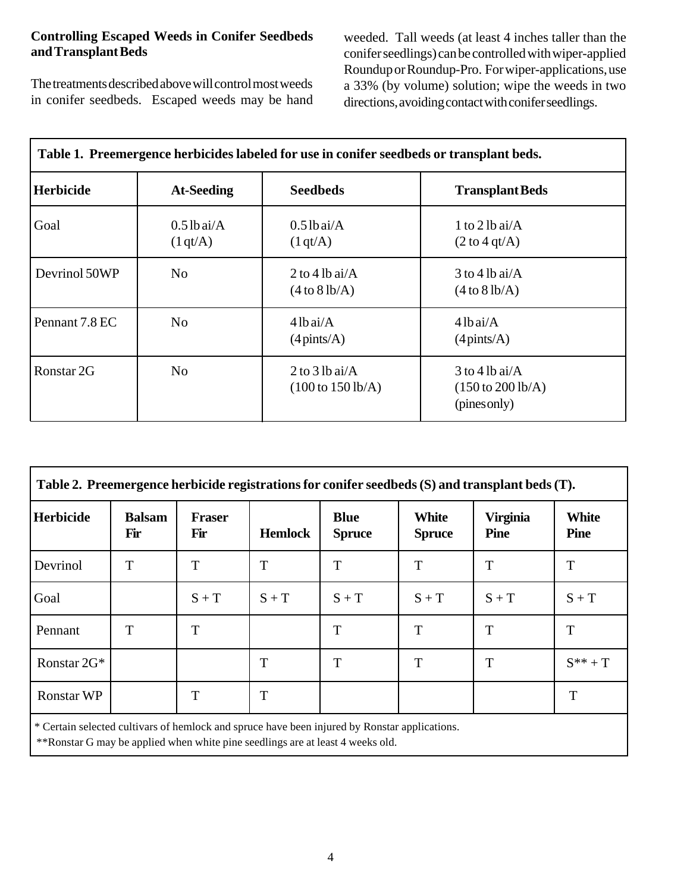### **Controlling Escaped Weeds in Conifer Seedbeds and Transplant Beds**

The treatments described above will control most weeds in conifer seedbeds. Escaped weeds may be hand

weeded. Tall weeds (at least 4 inches taller than the conifer seedlings) can be controlled with wiper-applied Roundup or Roundup-Pro. For wiper-applications, use a 33% (by volume) solution; wipe the weeds in two directions, avoiding contact with conifer seedlings.

| Table 1. I reemergence nerbiciues labeled for use in conner secubeus or transplant beus. |                           |                                                            |                                                                          |  |
|------------------------------------------------------------------------------------------|---------------------------|------------------------------------------------------------|--------------------------------------------------------------------------|--|
| <b>Herbicide</b>                                                                         | <b>At-Seeding</b>         | <b>Seedbeds</b>                                            | <b>Transplant Beds</b>                                                   |  |
| Goal                                                                                     | $0.5$ lb ai/A<br>(1 qt/A) | $0.5$ lbai/A<br>(1 qt/A)                                   | 1 to 2 lb ai/ $\overline{A}$<br>$(2 \text{ to } 4 \text{ qt/A})$         |  |
| Devrinol 50WP                                                                            | N <sub>0</sub>            | 2 to 4 lb ai/ $\overline{A}$<br>(4 to 8 lb/A)              | $3$ to 4 lb ai/A<br>(4 to 8 lb/A)                                        |  |
| Pennant 7.8 EC                                                                           | N <sub>o</sub>            | $4lb$ ai/A<br>$(4 \text{pints/A})$                         | $4 lb$ ai/A<br>$(4 \text{pints/A})$                                      |  |
| Ronstar 2G                                                                               | N <sub>o</sub>            | $2$ to $3$ lb ai/A<br>$(100 \text{ to } 150 \text{ lb/A})$ | $3$ to 4 lb ai/A<br>$(150 \text{ to } 200 \text{ lb/A})$<br>(pines only) |  |

| Table 1. Preemergence herbicides labeled for use in conifer seedbeds or transplant beds. |  |  |
|------------------------------------------------------------------------------------------|--|--|
|                                                                                          |  |  |

| Table 2. Preemergence herbicide registrations for conifer seedbeds (S) and transplant beds (T). |                      |                      |                |                              |                               |                                |                             |
|-------------------------------------------------------------------------------------------------|----------------------|----------------------|----------------|------------------------------|-------------------------------|--------------------------------|-----------------------------|
| <b>Herbicide</b>                                                                                | <b>Balsam</b><br>Fir | <b>Fraser</b><br>Fir | <b>Hemlock</b> | <b>Blue</b><br><b>Spruce</b> | <b>White</b><br><b>Spruce</b> | <b>Virginia</b><br><b>Pine</b> | <b>White</b><br><b>Pine</b> |
| Devrinol                                                                                        | T                    | T                    | T              | T                            | T                             | T                              | T                           |
| Goal                                                                                            |                      | $S + T$              | $S + T$        | $S + T$                      | $S + T$                       | $S + T$                        | $S + T$                     |
| Pennant                                                                                         | T                    | T                    |                | T                            | T                             | T                              | T                           |
| Ronstar 2G*                                                                                     |                      |                      | T              | T                            | T                             | T                              | $S^{**}+T$                  |
| <b>Ronstar WP</b>                                                                               |                      | T                    | T              |                              |                               |                                | T                           |
| * Certain selected cultivars of hemlock and spruce have been injured by Ronstar applications.   |                      |                      |                |                              |                               |                                |                             |

\*\*Ronstar G may be applied when white pine seedlings are at least 4 weeks old.